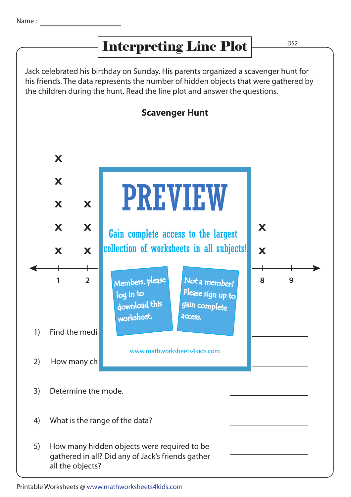## Interpreting Line Plot

D<sub>S2</sub>